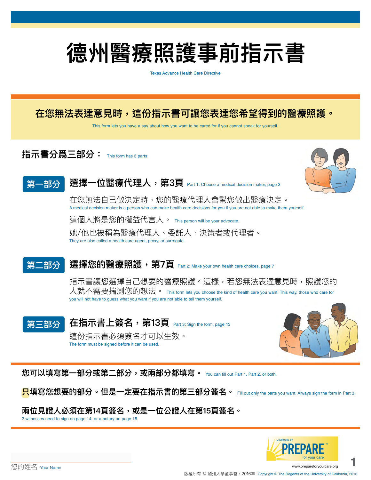# **德州醫療照護事前指示書**

Texas Advance Health Care Directive

# **在您無法表達意見時,這份指示書可讓您表達您希望得到的醫療照護。**

This form lets you have a say about how you want to be cared for if you cannot speak for yourself.

**指示書分爲三部分:** This form has 3 parts:



#### 選擇一位醫療代理人, 第3頁 Part 1: Choose a medical decision maker, page 3 **第一部分**

在您無法自己做決定時,您的醫療代理人會幫您做出醫療決定。 A medical decision maker is a person who can make health care decisions for you if you are not able to make them yourself. 這個人將是您的權益代言人。 This person will be your advocate. 她/他也被稱為醫療代理人、委託人、決策者或代理者。 They are also called a health care agent, proxy, or surrogate.

#### 選擇您的醫療照護,第7頁 Part 2: Make your own health care choices, page 7 **第二部分**

指示書讓您選擇自己想要的醫療照護。這樣,若您無法表達意見時,照護您的 人就不需要揣測您的想法。 This form lets you choose the kind of health care you want. This way, those who care for you will not have to guess what you want if you are not able to tell them yourself.

#### **在指示書上簽名,第13頁** Part 3: Sign the form, page 13 這份指示書必須簽名才可以生效。 The form must be signed before it can be used. **第三部分**



**您可以填寫第一部分或第二部分,或兩部分都填寫。** You can fill out Part 1, Part 2, or both.

**只填寫您想要的部分。但是一定要在指示書的第三部分簽名。** Fill out only the parts you want. Always sign the form in Part 3.

### **兩位見證人必須在第14頁簽名,或是一位公證人在第15頁簽名。**

2 witnesses need to sign on page 14, or a notary on page 15.

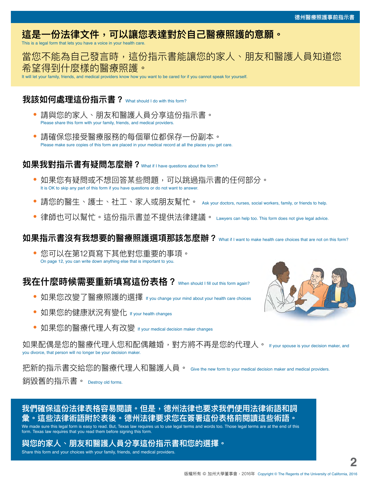# **這是一份法律文件,可以讓您表達對於自己醫療照護的意願。**

This is a legal form that lets you have a voice in your health car

### 當您不能為自己發言時,這份指示書能讓您的家人、朋友和醫護人員知道您 希望得到什麼樣的醫療照護。

It will let your family, friends, and medical providers know how you want to be cared for if you cannot speak for yourself.

### **我該如何處理這份指示書?** What should I do with this form?

- **•** 請與您的家人、朋友和醫護人員分享這份指示書。 Please share this form with your family, friends, and medical providers.
- **•** 請確保您接受醫療服務的每個單位都保存一份副本。 Please make sure copies of this form are placed in your medical record at all the places you get care.

### **如果我對指示書有疑問怎麼辦?**What if I have questions about the form?

- **•** 如果您有疑問或不想回答某些問題,可以跳過指示書的任何部分。 It is OK to skip any part of this form if you have questions or do not want to answer.
- **•** 請您的醫生、護士、社工、家人或朋友幫忙。 Ask your doctors, nurses, social workers, family, or friends to help.
- **•** 律師也可以幫忙。這份指示書並不提供法律建議。 Lawyers can help too. This form does not give legal advice.

### **如果指示書沒有我想要的醫療照護選項那該怎麽辦?** What if I want to make health care choices that are not on this form?

**•** 您可以在第12頁寫下其他對您重要的事項。 On page 12, you can write down anything else that is important to you.

### **我在什麼時候需要重新填寫這份表格?** When should I fill out this form again?

- **•** 如果您改變了醫療照護的選擇 If you change your mind about your health care choices
- **•** 如果您的健康狀況有變化 If your health changes
- **•** 如果您的醫療代理人有改變 If your medical decision maker changes

如果配偶是您的醫療代理人您和配偶離婚,對方將不再是您的代理人。 If your spouse is your decision maker, and you divorce, that person will no longer be your decision maker.

把新的指示書交給您的醫療代理人和醫護人員。 Give the new form to your medical decision maker and medical providers. 銷毀舊的指示書。 Destroy old forms.



### **我們確保這份法律表格容易閱讀。但是,德州法律也要求我們使用法律術語和詞 彙。這些法律術語附於表後。德州法律要求您在簽署這份表格前閱讀這些術語。**

We made sure this legal form is easy to read. But, Texas law requires us to use legal terms and words too. Those legal terms are at the end of this form. Texas law requires that you read them before signing this form.

### **與您的家人、朋友和醫護人員分享這份指示書和您的選擇。**

Share this form and your choices with your family, friends, and medical providers.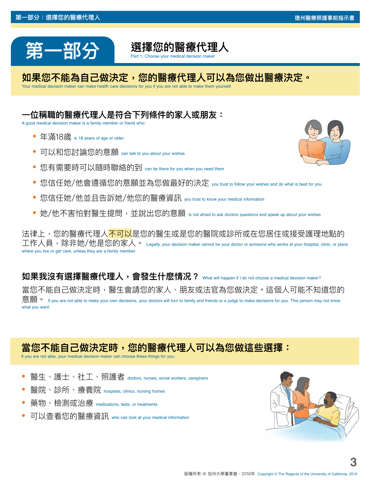



### **如果您不能為自己做決定,您的醫療代理人可以為您做出醫療決定。**

Your medical decision maker can make health care decisions for you if you are not able to make them yourself.

# **一位稱職的醫療代理人是符合下列條件的家人或朋友:**

A good medical decision maker is a family member or friend who:

- **•** 年滿18歲 is 18 years of age or older
- **•** 可以和您討論您的意願 can talk to you about your wishes
- **•** 您有需要時可以隨時聯絡的到 can be there for you when you need them
- **•** 您信任她/他會遵循您的意願並為您做最好的決定 you trust to follow your wishes and do what is best for you
- 您信任她/他並且告訴她/他您的醫療資訊 vou trust to know your medical information
- 她/他不害怕對醫生提問,並說出您的意願 is not afraid to ask doctors questions and speak up about your wishes

法律上,您的醫療代理人<mark>不可以</mark>是您的醫生或是您的醫院或診所或在您居住或接受護理地點的 工作人員,除非她/他是您的家人。 <sub>Legally, your decision maker cannot be your doctor or someone who works at your hospital, clinic, or place</sub> where you live or get care, unless they are a family member.

**如果我沒有選擇醫療代理人,會發生什麽情况?** What will happen if I do not choose a medical decision maker? 當您不能自己做決定時,醫生會請您的家人、朋友或法官為您做決定。這個人可能不知道您的 意願 • If you are not able to make your own decisions, your doctors will turn to family and friends or a judge to make decisions for you. This person may not know what you want.

# **當您不能自己做決定時,您的醫療代理人可以為您做這些選擇:**

If you are not able, your medical decision maker can choose these things for you

- **•** 醫生、護士、社工、照護者 doctors, nurses, social workers, caregivers
- **•** 醫院、診所、療養院 hospitals, clinics, nursing homes
- **•** 藥物、檢測或治療 medications, tests, or treatments
- **•** 可以查看您的醫療資訊 who can look at your medical information

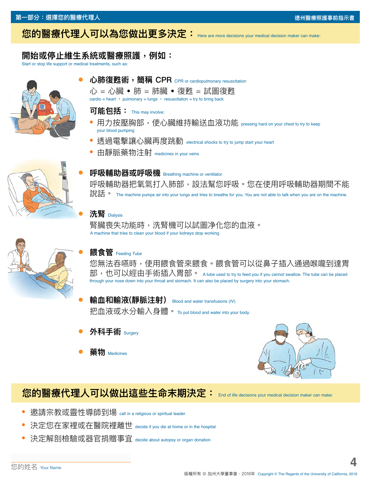# **您的醫療代理人可以為您做出更多決定:** Here are more decisions your medical decision maker can make:

### **開始或停止維生系統或醫療照護,例如:**

Start or stop life support or medical treatments, such as:









#### **可能包括:** This may involve:

- **•** 用力按壓胸部,使心臟維持輸送血液功能 pressing hard on your chest to try to keep your blood pumping
- **•** 透過電擊讓心臟再度跳動 electrical shocks to try to jump start your heart
- **•** 由靜脈藥物注射 medicines in your veins

**呼吸輔助器或呼吸機** Breathing machine or ventilator 呼吸輔助器把氧氣打入肺部,設法幫您呼吸。您在使用呼吸輔助器期間不能 說: # o The machine pumps air into your lungs and tries to breathe for you. You are not able to talk when you are on the machine.

### **洗腎** Dialysis

腎臟喪失功能時,洗腎機可以試圖净化您的血液。 A machine that tries to clean your blood if your kidneys stop working.

### **餵食管** Feeding Tube

您無法吞嚥時,使用餵食管來餵食。餵食管可以從鼻子插入通過喉嚨到達胃 部,也可以經由手術插入胃部。 A tube used to try to feed you if you cannot swallow. The tube can be placed through your nose down into your throat and stomach. It can also be placed by surgery into your stomach.

- **輸血和輸液(靜脈注射)** Blood and water transfusions (IV) 把血液或水分輸入身體。 To put blood and water into your body.
- **外科手術** Surgery
- **藥物** Medicines



# **您的醫療代理人可以做出這些生命末期決定:** End of life decisions your medical decision maker can make:

- **•** 邀請宗教或靈性導師到場 call in a religious or spiritual leader
- **•** 決定您在家裡或在醫院裡離世 decide if you die at home or in the hospital
- **•** 決定解剖檢驗或器官捐贈事宜 decide about autopsy or organ donation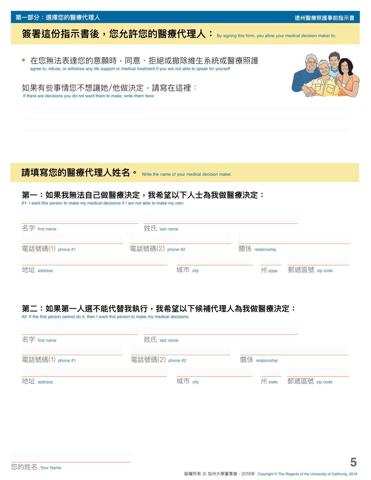#### **第一部分:選擇您的醫療代理人 德州醫療照護事前指示書**

# **簽署這份指示書後, 您允許您的醫療代理人:** By signing this form, you allow your medical decision maker to:

**•** 在您無法表達您的意願時,同意、拒絕或撤除維生系統或醫療照護 agree to, refuse, or withdraw any life support or medical treatment if you are not able to speak for yourself



如果有些事情您不想讓她/他做決定,請寫在這裡: If there are decisions you do not want them to make, write them here:

# 請填寫您的醫療代理人姓名。 Write the name of your medical decision maker.

### 第一:如果我無法自己做醫療決定,我希望以下人士為我做醫療決定:

#1: I want this person to make my medical decisions if I am not able to make my own:

| 名字 first name    | 姓氏 last name     |         |                    |               |
|------------------|------------------|---------|--------------------|---------------|
| 電話號碼(1) phone #1 | 電話號碼(2) phone #2 |         | 關係 relationship    |               |
| 地址 address       |                  | 城市 city | $\mathbb{M}$ state | 郵遞區號 zip code |

# **第二:如果第一人選不能代替我執行,我希望以下候補代理人為我做醫療決定:**

#2: If the first person cannot do it, then I want this person to make my medical decisions:

| 名字 first name    | 姓氏 last name     |                    |               |
|------------------|------------------|--------------------|---------------|
| 電話號碼(1) phone #1 | 電話號碼(2) phone #2 | 關係 relationship    |               |
| 地址 address       | 城市 city          | $\mathbb{M}$ state | 郵遞區號 zip code |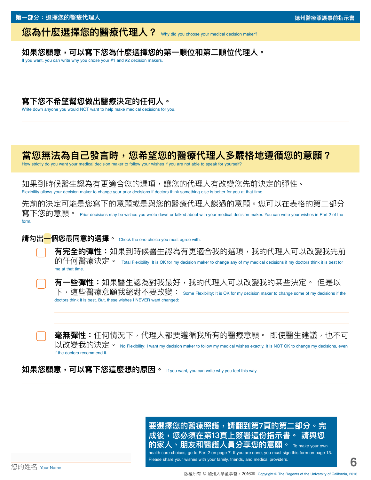### **您為什麼選擇您的醫療代理人?** Why did you choose your medical decision maker?

### **如果您願意,可以寫下您為什麼選擇您的第一順位和第二順位代理人。**

If you want, you can write why you chose your #1 and #2 decision makers.

### **寫下您不希望幫您做出醫療決定的任何人。**

Write down anyone you would NOT want to help make medical decisions for you.

# **當您無法為自己發言時,您希望您的醫療代理人多嚴格地遵循您的意願?**

How strictly do you want your medical decision maker to follow your wishes if you are not able to speak for yourself?

如果到時候醫生認為有更適合您的選項,讓您的代理人有改變您先前決定的彈性。 Flexibility allows your decision maker to change your prior decisions if doctors think something else is better for you at that time.

先前的決定可能是您寫下的意願或是與您的醫療代理人談過的意願。您可以在表格的第二部分 寫下您的意願。 Prior decisions may be wishes you wrote down or talked about with your medical decision maker. You can write your wishes in Part 2 of the form.

#### 請勾出一個您最同意的選擇。 Check the one choice you most agree with.

**有完全的彈性:**如果到時候醫生認為有更適合我的選項,我的代理人可以改變我先前 的任何醫療決定。 Total Flexibility: It is OK for my decision maker to change any of my medical decisions if my doctors think it is best for me at that time.

**有一些彈性:**如果醫生認為對我最好,我的代理人可以改變我的某些決定。 但是以 下,這些醫療意願我絕對不要改變: Some Flexibility: It is OK for my decision maker to change some of my decisions if the doctors think it is best. But, these wishes I NEVER want changed:

**毫無彈性:**仟何情況下,代理人都要遵循我所有的醫療意願。 即使醫牛建議,也不可 以改變我的決定。 No Flexibility: I want my decision maker to follow my medical wishes exactly. It is NOT OK to change my decisions, even if the doctors recommend it.

**如果您願意,可以寫下您這麼想的原因。** If you want, you can write why you feel this way.

**成後,您必須在第13頁上簽署這份指示書。 請與您 的家人、朋友和醫護人員分享您的意願。** To make your own health care choices, go to Part 2 on page 7. If you are done, you must sign this form on page 13. Please share your wishes with your family, friends, and medical providers.

**要選擇您的醫療照護,請翻到第7頁的第二部分。完**

您的姓名 Your Name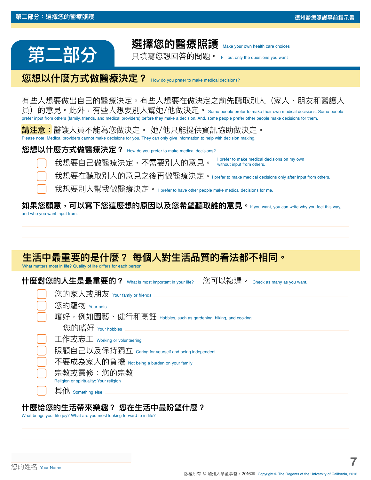# 選擇您的醫療照護

只填寫您想回答的問題。 Fill out only the questions you want

**您想以什麼方式做醫療決定?** How do you prefer to make medical decisions?

有些人想要做出自己的醫療決定。有些人想要在做決定之前先聽取別人(家人、朋友和醫護人 員)的意見。此外,有些人想要別人幫她/他做決定。 Some people prefer to make their own medical decisions. Some people prefer input from others (family, friends, and medical providers) before they make a decision. And, some people prefer other people make decisions for them.

**請注意:**醫護人員不能為您做決定。 她/他只能提供資訊協助做決定。 Please note: Medical providers cannot make decisions for you. They can only give information to help with decision making.

**您想以什麼方式做醫療決定?** How do you prefer to make medical decisions?

我想要自己做醫療決定,不需要別人的意見。 I prefer to make medical decisions on my own without input from others.

我想要在聽取別人的意見之後再做醫療決定。I prefer to make medical decisions only after input from others.

我想要別人幫我做醫療決定。 I prefer to have other people make medical decisions for me.

#### **如果您願意,可以寫下您這麼想的原因以及您希望聽取誰的意見。**If you want, you can write why you feel this way, and who you want input from.

# **生活中最重要的是什麼? 每個人對生活品質的看法都不相同。**

What matters most in life? Quality of life differs for each person.

**什麼對您的人生是最重要的?** What is most important in your life?您可以複選。 Check as many as you want.

| 您的家人或朋友 Your famiy or friends                                 |
|---------------------------------------------------------------|
| 您的寵物 Your pets                                                |
| 嗜好,例如園藝、健行和烹飪 Hobbies, such as gardening, hiking, and cooking |
| 您的嗜好 Your hobbies                                             |
| 工作或志工 working or volunteering                                 |
| 照顧自己以及保持獨立 Caring for yourself and being independent          |
| 不要成為家人的負擔 Not being a burden on your family                   |
| 宗教或靈修:您的宗教                                                    |
| Religion or spirituality: Your religion                       |
| 其他 Something else                                             |

### **什麼給您的生活帶來樂趣? 您在生活中最盼望什麼?**

What brings your life joy? What are you most looking forward to in life?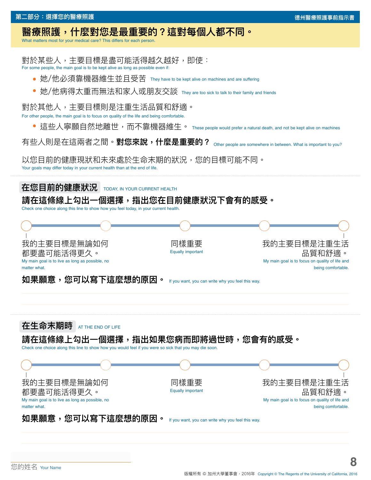# **醫療照護,什麼對您是最重要的?這對每個人都不同。**

What matters most for your medical care? This differs for each person.

對於某些人,主要目標是盡可能活得越久越好,即使: For some people, the main goal is to be kept alive as long as possible even if

- **•** 她/他必須靠機器維生並且受苦 They have to be kept alive on machines and are suffering
- **•** 她/他病得太重而無法和家人或朋友交談 They are too sick to talk to their family and friends

對於其他人,主要目標則是注重生活品質和舒適。

For other people, the main goal is to focus on quality of the life and being comfortable

**•** 這些人寧願自然地離世,而不靠機器維生。 These people would prefer a natural death, and not be kept alive on machines

有些人則是在這兩者之間。**對您來說,什麼是重要的?** Other people are somewhere in between. What is important to you?

以您目前的健康現狀和未來處於生命末期的狀況,您的目標可能不同。 Your goals may differ today in your current health than at the end of life.

**在您目前的健康狀況** TODAY, IN YOUR CURRENT HEALTH

### **請在這條線上勾出一個選擇,指出您在目前健康狀況下會有的感受。**

Check one choice along this line to show how you feel today, in your current health.



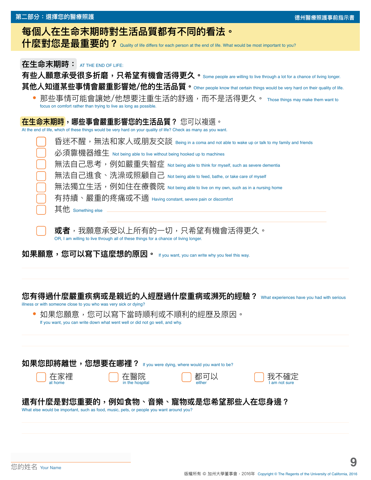| 第二部分:選擇您的醫療照護                                                                                                                                                                                                                                                                                                                                                                            | 德州醫療照護事前指示書 |
|------------------------------------------------------------------------------------------------------------------------------------------------------------------------------------------------------------------------------------------------------------------------------------------------------------------------------------------------------------------------------------------|-------------|
| 每個人在生命末期時對生活品質都有不同的看法。<br>什麼對您是最重要的? Quality of life differs for each person at the end of life. What would be most important to you?                                                                                                                                                                                                                                                    |             |
| 在生命末期時: AT THE END OF LIFE:<br>有些人願意承受很多折磨,只希望有機會活得更久。Some people are willing to live through a lot for a chance of living longer.<br>其他人知道某些事情會嚴重影響她/他的生活品質。 Other people know that certain things would be very hard on their quality of life.<br>那些事情可能會讓她/他想要注重生活的舒適,而不是活得更久。 Those things may make them want to<br>focus on comfort rather than trying to live as long as possible. |             |
| 在生命末期時,哪些事會嚴重影響您的生活品質? 您可以複選。<br>At the end of life, which of these things would be very hard on your quality of life? Check as many as you want.                                                                                                                                                                                                                                        |             |

|              | 昏迷不醒,無法和家人或朋友交談 Being in a coma and not able to wake up or talk to my family and friends |
|--------------|------------------------------------------------------------------------------------------|
| $\mathbf{L}$ | 必須靠機器維生 Not being able to live without being hooked up to machines                       |
|              | 無法自己思考,例如嚴重失智症 Not being able to think for myself, such as severe dementia               |
|              | 無法自己進食、洗澡或照顧自己 Not being able to feed, bathe, or take care of myself                     |
| $\mathbf{I}$ | 無法獨立生活,例如住在療養院 Not being able to live on my own, such as in a nursing home               |
| $\mathbf{I}$ | 有持續、嚴重的疼痛或不適 Having constant, severe pain or discomfort                                  |
| l a          | 其他 something else                                                                        |
|              |                                                                                          |

**或者**,我願意承受以上所有的一切,只希望有機會活得更久。 OR, I am willing to live through all of these things for a chance of living longer.

**如果願意,您可以寫下這麼想的原因。** If you want, you can write why you feel this way.

# **您有得過什麼嚴重疾病或是親近的人經歷過什麼重病或瀕死的經驗?** What experiences have you had with serious

illness or with someone close to you who was very sick or dying?

| • 如果您願意,您可以寫下當時順利或不順利的經歷及原因。                                                |
|-----------------------------------------------------------------------------|
| If you want, you can write down what went well or did not go well, and why. |

| 如果您即將離世,您想要在哪裡? if you were dying, where would you want to be?                                                                |               |                |                      |  |  |
|-------------------------------------------------------------------------------------------------------------------------------|---------------|----------------|----------------------|--|--|
| ◯ 在家裡<br>at home                                                                                                              | $\bigcup$ 在醫院 | $\bigcirc$ 都可以 | 我不確定<br>lam not sure |  |  |
| 還有什麼是對您重要的,例如食物、音樂、寵物或是您希望那些人在您身邊?<br>What else would be important, such as food, music, pets, or people you want around you? |               |                |                      |  |  |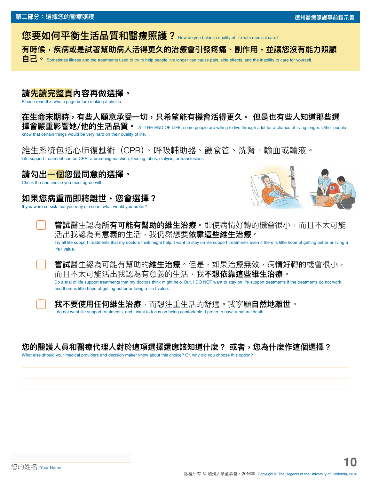**您要如何平衡生活品質和醫療照護?** How do you balance quality of life with medical care?

**有時候,疾病或是試著幫助病人活得更久的治療會引發疼痛、副作用,並讓您沒有能力照顧**

**自己** • Sometimes illness and the treatments used to try to help people live longer can cause pain, side effects, and the inability to care for yourself.

# **請先讀完整頁內容再做選擇。**

Please read this whole page before making a choice.

**在生命末期時,有些人願意承受一切,只希望能有機會活得更久。 但是也有些人知道那些選**

**擇會嚴重影響她/他的生活品質。** AT THE END OF LIFE, some people are willing to live through a lot for a chance of living longer. Other people know that certain things would be very hard on their quality of life.

維生系統包括心肺復甦術(CPR)、呼吸輔助器、餵食管、洗腎、輸血或輸液。 Life support treatment can be CPR, a breathing machine, feeding tubes, dialysis, or transfusions.

# **請勾出一個您最同意的選擇。**

Check the one choice you most agree with.

# **如果您病重而即將離世,您會選擇?**

If you were so sick that you may die soon, what would you prefer?



**嘗試**醫生認為**所有可能有幫助的維生治療**。即使病情好轉的機會很小,而且不太可能 活出我認為有意義的生活,我仍然想要**依靠這些維生治療**。 Try all life support treatments that my doctors think might help. I want to stay on life support treatments even if there is little hope of getting better or living a life I value.

**嘗試**醫生認為可能有幫助的**維生治療**。但是,如果治療無效,病情好轉的機會很小, 而且不太可能活出我認為有意義的生活,我**不想依靠這些維生治療**。 Do a trial of life support treatments that my doctors think might help. But, I DO NOT want to stay on life support treatments if the treatments do not work and there is little hope of getting better or living a life I value.



**我不要使用任何維生治療**,而想注重生活的舒適。我寧願**自然地離世**。 I do not want life support treatments, and I want to focus on being comfortable. I prefer to have a natural death.

### 您的醫護人員和醫療代理人對於這項選擇還應該知道什麼? 或者,您為什麼作這個選擇?

What else should your medical providers and decision maker know about this choice? Or, why did you choose this option?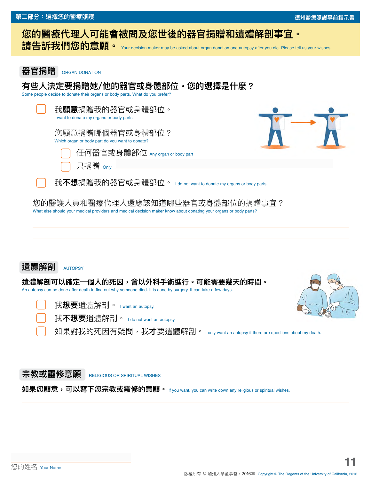**器官捐贈** ORGAN DONATION

# **您的醫療代理人可能會被問及您世後的器官捐贈和遺體解剖事宜。**

請告訴我們您的意願。 Your decision maker may be asked about organ donation and autopsy after you die. Please tell us your wishes.

**有些人決定要捐贈她/他的器官或身體部位。您的選擇是什麼?** Some people decide to donate their organs or body parts. What do you prefer? 我**願意**捐贈我的器官或身體部位。 I want to donate my organs or body parts. 您願意捐贈哪個器官或身體部位? Which organ or body part do you want to donate? 任何器官或身體部位 Any organ or body part 只捐贈 <sub>Only</sub> 我**不想**捐贈我的器官或身體部位。 I do not want to donate my organs or body parts. 您的醫護人員和醫療代理人還應該知道哪些器官或身體部位的捐贈事宜? What else should your medical providers and medical decision maker know about donating your organs or body parts? **遺體解剖可以確定一個人的死因,會以外科手術進行。可能需要幾天的時間。** An autopsy can be done after death to find out why someone died. It is done by surgery. It can take a few days. 我**想要**遺體解剖。 I want an autopsy. 我不想要潰體解剖。 I do not want an autopsy. 如果對我的死因有疑問,我**才**要遺體解剖。 I only want an autopsy if there are questions about my death. 遺體解剖 AUTOPSY

### **宗教或靈修意願** RELIGIOUS OR SPIRITUAL WISHES

**如果您願意,可以寫下您宗教或靈修的意願。** If you want, you can write down any religious or spiritual wishes.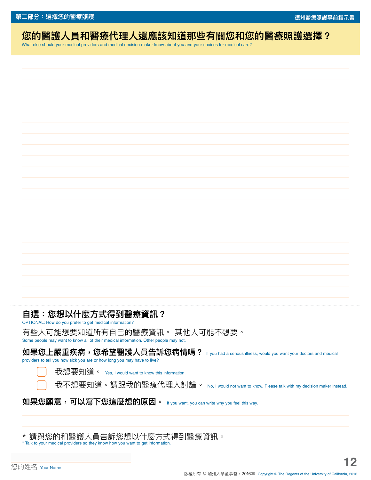**第二部分:選擇您的醫療照護 德州醫療照護事前指示書**

# **您的醫護人員和醫療代理人還應該知道那些有關您和您的醫療照護選擇?**

What else should your medical providers and medical decision maker know about you and your choices for medical care?

**自選:您想以什麼方式得到醫療資訊?** 

OPTIONAL: How do you prefer to get medical information?

有些人可能想要知道所有自己的醫療資訊。 其他人可能不想要。

Some people may want to know all of their medical information. Other people may not.

**如果您上嚴重疾病,您希望醫護人員告訴您病情嗎?** If you had a serious illness, would you want your doctors and medical providers to tell you how sick you are or how long you may have to live?

我想要知道。 Yes, I would want to know this information.

我不想要知道。請跟我的醫療代理人討論。 No, I would not want to know. Please talk with my decision maker instead.

**如果您願意,可以寫下您這麼想的原因。** If you want, you can write why you feel this way.

\* 請與您的和醫護人員告訴您想以什麼方式得到醫療資訊。 \* Talk to your medical providers so they know how you want to get information.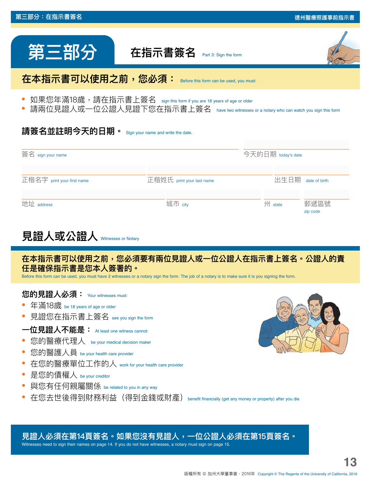| 第三部分                                                                                                                                                                                                                  | 在指示書簽名<br>Part 3: Sign the form         |                                |  |  |  |  |
|-----------------------------------------------------------------------------------------------------------------------------------------------------------------------------------------------------------------------|-----------------------------------------|--------------------------------|--|--|--|--|
| 在本指示書可以使用之前,您必須:                                                                                                                                                                                                      | Before this form can be used, you must: |                                |  |  |  |  |
| 如果您年滿18歲,請在指示書上簽名 sign this form if you are 18 years of age or older<br>請兩位見證人或一位公證人見證下您在指示書上簽名 have two witnesses or a notary who can watch you sign this form<br>請簽名並註明今天的日期。<br>Sign your name and write the date. |                                         |                                |  |  |  |  |
| 簽名 sign your name                                                                                                                                                                                                     |                                         | 今天的日期 today's date             |  |  |  |  |
| 正楷名字 print your first name                                                                                                                                                                                            | 正楷姓氏 print your last name               | 出生日期<br>date of birth          |  |  |  |  |
| 地址 address                                                                                                                                                                                                            | 城市 city                                 | 州<br>郵遞區號<br>state<br>zip code |  |  |  |  |

一部分:在指示書签名 **《**<br>三部分:在指示書签名 <sub>·</sub>

# **見證人或公證人** Witnesses or Notary

**在本指示書可以使用之前,您必須要有兩位見證人或一位公證人在指示書上簽名。公證人的責 任是確保指示書是您本人簽署的。**

Before this form can be used, you must have 2 witnesses or a notary sign the form. The job of a notary is to make sure it is you signing the form.

#### **您的見證人必須:** Your witnesses must:

- **•** 年滿18歲 be 18 years of age or older
- **•** 見證您在指示書上簽名 see you sign the form
- **一位見證人不能是:** At least one witness cannot:
- **•** 您的醫療代理人 be your medical decision maker
- **•** 您的醫護人員 be your health care provider
- **•** 在您的醫療單位工作的人 work for your health care provider
- **•** 是您的債權人 be your creditor
- **•** 與您有任何親屬關係 be related to you in any way
- 在您去世後得到財務利益(得到金錢或財產)benefit financially (get any money or property) after you die



# **見證人必須在第14頁簽名。如果您沒有見證人,一位公證人必須在第15頁簽名。**

Witnesses need to sign their names on page 14. If you do not have witnesses, a notary must sign on page 15.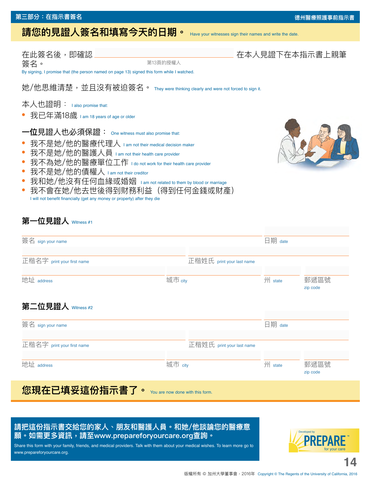### **第三部分:在指示書簽名**

# **請您的見證人簽名和填寫今天的日期。** Have your witnesses sign their names and write the date.

簽名。 By signing, I promise that (the person named on page 13) signed this form while I watched. 她/他思維清楚,並且沒有被迫簽名。 They were thinking clearly and were not forced to sign it. 本人也證明: I also promise that: **•** 我已年滿18歲 I am 18 years of age or older 第13頁的授權人

### **一位**見證人也必須保證: One witness must also promise that:

- **•** 我不是她/他的醫療代理人 I am not their medical decision maker
- **•** 我不是她/他的醫護人員 I am not their health care provider
- **•** 我不為她/他的醫療單位工作 I do not work for their health care provider
- **•** 我不是她/他的債權人 I am not their creditor
- **•** 我和她/他沒有任何血緣或婚姻 I am not related to them by blood or marriage
- **•** 我不會在她/他去世後得到財務利益(得到任何金錢或財產) I will not benefit financially (get any money or property) after they die

### **第一位見證人** Witness #1

| 簽名 sign your name                                 |         |                           | 日期 date |                  |
|---------------------------------------------------|---------|---------------------------|---------|------------------|
|                                                   |         |                           |         |                  |
| 正楷名字 print your first name                        |         | 正楷姓氏 print your last name |         |                  |
| 地址 address                                        | 城市 city |                           | 州 state | 郵遞區號             |
|                                                   |         |                           |         | zip code         |
| 第二位見證人 Witness #2                                 |         |                           |         |                  |
| 簽名 sign your name                                 |         |                           | 日期 date |                  |
| 正楷名字 print your first name                        |         | 正楷姓氏 print your last name |         |                  |
| 地址 address                                        | 城市 city |                           | 州 state | 郵遞區號<br>zip code |
| 您現在已填妥這份指示書了。<br>You are now done with this form. |         |                           |         |                  |

### **請把這份指示書交給您的家人、朋友和醫護人員。和她/他談論您的醫療意 願。如需更多資訊,請至www.prepareforyourcare.org查詢。**

Share this form with your family, friends, and medical providers. Talk with them about your medical wishes. To learn more go to www.prepareforyourcare.org.



**14**

#### **德州醫療照護事前指示書**

### 在此簽名後,即確認 そころには インスコート おおし しんしん 在本人見證下在本指示書上親筆

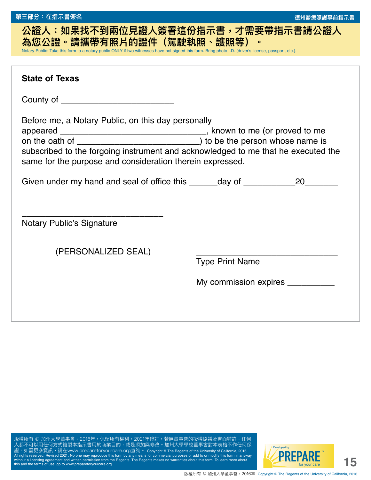# **公證人:如果找不到兩位見證人簽署這份指示書,才需要帶指示書請公證人 為您公證。請攜帶有照片的證件(駕駛執照、護照等)。**  Notary Public: Take this form to a notary public ONLY if two witnesses have not signed this form. Bring photo I.D. (driver's license, passport, etc.). **State of Texas**  County of **Exercise 20** Before me, a Notary Public, on this day personally

appeared \_\_\_\_\_\_\_\_\_\_\_\_\_\_\_\_\_\_\_\_\_\_\_\_\_\_\_\_\_\_\_, known to me (or proved to me on the oath of \_\_\_\_\_\_\_\_\_\_\_\_\_\_\_\_\_\_\_\_\_\_\_\_\_\_) to be the person whose name is subscribed to the forgoing instrument and acknowledged to me that he executed the

Given under my hand and seal of office this \_\_\_\_\_\_day of \_\_\_\_\_\_\_\_\_\_\_\_\_\_\_\_\_20\_\_\_\_\_\_\_\_\_

same for the purpose and consideration therein expressed.

Notary Public's Signature

(PERSONALIZED SEAL)

\_\_\_\_\_\_\_\_\_\_\_\_\_\_\_\_\_\_\_\_\_\_\_\_\_\_\_\_\_\_

Type Print Name

My commission expires \_\_\_\_\_\_\_\_\_\_

所有 © 加州大學董事會,2016年。保留所有權利。2021年修訂。若無董事會的授權協議及書面特許,任何 人都不可以用任何方式複製本指示書用於商業目的,或是添加與修改。加州大學學校董事會對本表格不作任何保 證。如需更多資訊,請在www.prepareforyourcare.org查詢。 Copyright © The Regents of the University of California, 2016. sed 2021. No one may reproduce this form by any near without a licensing agreement and written permission from the Regents. The Regents makes no warranties about this form. To learn more about this and the terms of use, go to www.prepareforyourcare.org

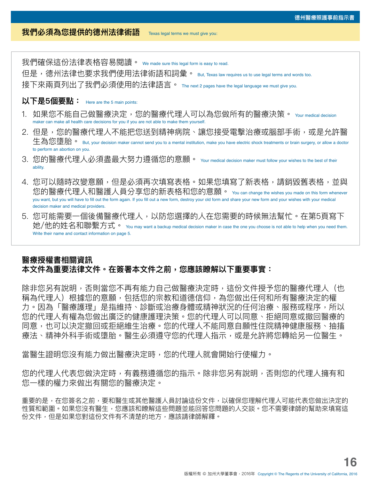#### **我們必須為您提供的德州法律術語** Texas legal terms we must give you:

但是,德州法律也要求我們使用法律術語和詞彙。 But, Texas law requires us to use legal terms and words too. 接下來兩頁列出了我們必須使用的法律語言。 The next 2 pages have the legal language we must give you.

### **以下是5個要點:** Here are the 5 main points:

- 1.如果您不能自己做醫療決定,您的醫療代理人可以為您做所有的醫療決策。 <sub>Your medical decision</sub> maker can make all health care decisions for you if you are not able to make them yourself.
- 2. 但是,您的醫療代理人不能把您送到精神病院、讓您接受電擊治療或腦部手術,或是允許醫 牛為您墮胎。 But, your decision maker cannot send you to a mental institution, make you have electric shock treatments or brain surgery, or allow a doctor to perform an abortion on you.
- 3. 您的醫療代理人必須盡最大努力遵循您的意願。 Your medical decision maker must follow your wishes to the best of their ability.
- 4. 您可以隨時改變意願,但是必須再次填寫表格。如果您填寫了新表格,請銷毀舊表格,並與 您的醫療代理人和醫護人員分享您的新表格和您的意願。 You can change the wishes you made on this form whenever you want, but you will have to fill out the form again. If you fill out a new form, destroy your old form and share your new form and your wishes with your medical decision maker and medical providers.
- 5. 您可能需要一個後備醫療代理人,以防您選擇的人在您需要的時候無法幫忙。在第5頁寫下 她/他的姓名和聯繫方式。 You may want a backup medical decision maker in case the one you choose is not able to help when you need them. Write their name and contact information on page 5.

### **醫療授權書相關資訊 本文件為重要法律文件。在簽署本文件之前,您應該瞭解以下重要事實:**

我们解佛法律表格容容易閱讀。 we made sure this web made sure the sure that the sure that the sure the sure that the sure that the sure that the sure that the sure that the sure that the sure that the sure that the sure that the sure th 除非您另有說明,否則當您不再有能力自己做醫療決定時,這份文件授予您的醫療代理人(也 稱為代理人)根據您的意願,包括您的宗教和道德信仰,為您做出任何和所有醫療決定的權 力。因為「醫療護理」是指維持、診斷或治療身體或精神狀況的任何治療、服務或程序,所以 您的代理人有權為您做出廣泛的健康護理決策。您的代理人可以同意、拒絕同意或撤回醫療的 同意,也可以決定撤回或拒絕維生治療。您的代理人不能同意自願性住院精神健康服務、抽搐 療法、精神外科手術或墮胎。醫生必須遵守您的代理人指示,或是允許將您轉給另一位醫生。

當醫牛證明您沒有能力做出醫療決定時,您的代理人就會開始行使權力。

您的代理人代表您做決定時,有義務遵循您的指示。除非您另有說明,否則您的代理人擁有和 您一樣的權力來做出有關您的醫療決定。

重要的是,在您簽名之前,要和醫生或其他醫護人員討論這份文件,以確保您理解代理人可能代表您做出決定的 性質和範圍。如果您沒有醫生,您應該和瞭解這些問題並能回答您問題的人交談。您不需要律師的幫助來填寫這 份文件,但是如果您對這份文件有不清楚的地方,應該請律師解釋。